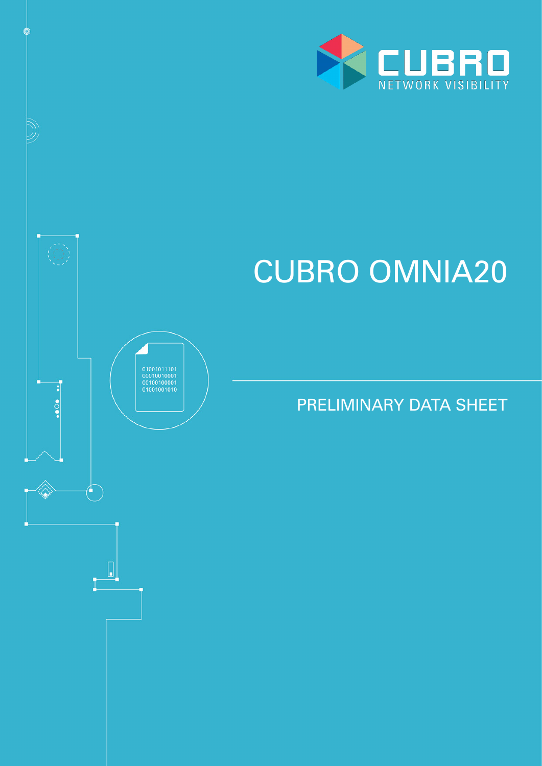

# CUBRO OMNIA20

 $\begin{array}{c} 01001011101 \\ 00010010001 \\ 00100100001 \\ 0100100101 \end{array}$ 

 $\begin{bmatrix} \phantom{-} \end{bmatrix}$ 

 $\cdot \cdot \cdot$ 

PRELIMINARY DATA SHEET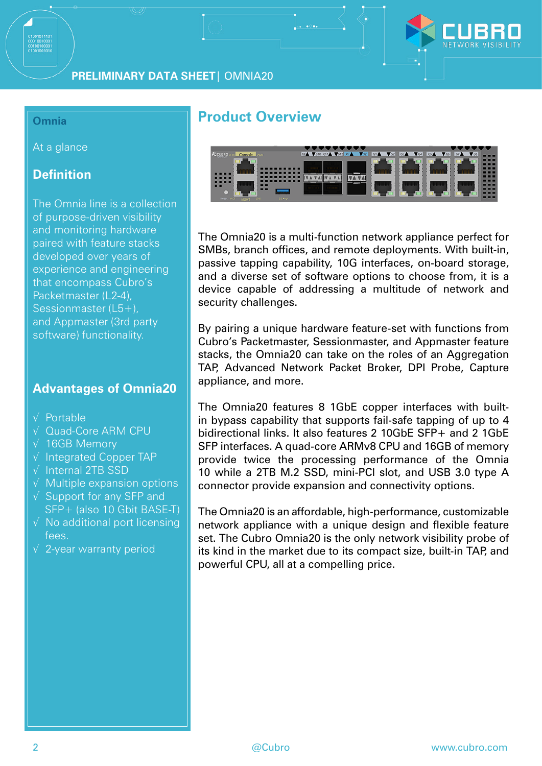

#### **Omnia**

At a glance

## **Definition**

The Omnia line is a collection of purpose-driven visibility and monitoring hardware paired with feature stacks developed over years of experience and engineering that encompass Cubro's Packetmaster (L2-4), Sessionmaster (L5+), and Appmaster (3rd party software) functionality.

## **Advantages of Omnia20**

- √ Portable
- √ Quad-Core ARM CPU
- √ 16GB Memory
- √ Integrated Copper TAP
- √ Internal 2TB SSD
- √ Multiple expansion options
- √ Support for any SFP and SFP+ (also 10 Gbit BASE-T)
- $\sqrt{\ }$  No additional port licensing fees.
- √ 2-year warranty period

## **Product Overview**



The Omnia20 is a multi-function network appliance perfect for SMBs, branch offices, and remote deployments. With built-in, passive tapping capability, 10G interfaces, on-board storage, and a diverse set of software options to choose from, it is a device capable of addressing a multitude of network and security challenges.

By pairing a unique hardware feature-set with functions from Cubro's Packetmaster, Sessionmaster, and Appmaster feature stacks, the Omnia20 can take on the roles of an Aggregation TAP, Advanced Network Packet Broker, DPI Probe, Capture appliance, and more.

The Omnia20 features 8 1GbE copper interfaces with builtin bypass capability that supports fail-safe tapping of up to 4 bidirectional links. It also features 2 10GbE SFP+ and 2 1GbE SFP interfaces. A quad-core ARMv8 CPU and 16GB of memory provide twice the processing performance of the Omnia 10 while a 2TB M.2 SSD, mini-PCI slot, and USB 3.0 type A connector provide expansion and connectivity options.

The Omnia20 is an affordable, high-performance, customizable network appliance with a unique design and flexible feature set. The Cubro Omnia20 is the only network visibility probe of its kind in the market due to its compact size, built-in TAP, and powerful CPU, all at a compelling price.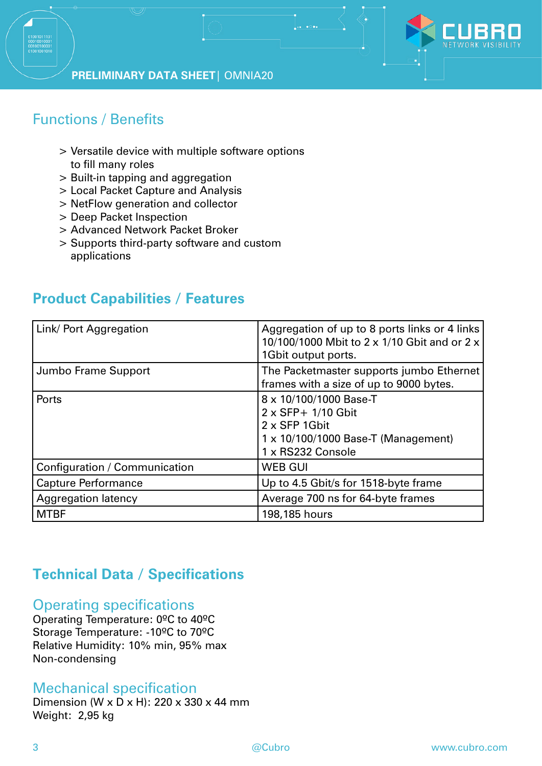

# Functions / Benefits

- > Versatile device with multiple software options to fill many roles
- > Built-in tapping and aggregation
- > Local Packet Capture and Analysis
- > NetFlow generation and collector
- > Deep Packet Inspection
- > Advanced Network Packet Broker
- > Supports third-party software and custom applications

# **Product Capabilities / Features**

| Link/ Port Aggregation        | Aggregation of up to 8 ports links or 4 links<br>10/100/1000 Mbit to 2 x 1/10 Gbit and or 2 x<br>1Gbit output ports.             |
|-------------------------------|----------------------------------------------------------------------------------------------------------------------------------|
| Jumbo Frame Support           | The Packetmaster supports jumbo Ethernet<br>frames with a size of up to 9000 bytes.                                              |
| Ports                         | 8 x 10/100/1000 Base-T<br>2 x SFP+ 1/10 Gbit<br>2 x SFP 1Gbit<br>$1 \times 10/100/1000$ Base-T (Management)<br>1 x RS232 Console |
| Configuration / Communication | <b>WEB GUI</b>                                                                                                                   |
| <b>Capture Performance</b>    | Up to 4.5 Gbit/s for 1518-byte frame                                                                                             |
| <b>Aggregation latency</b>    | Average 700 ns for 64-byte frames                                                                                                |
| <b>MTBF</b>                   | 198,185 hours                                                                                                                    |

# **Technical Data / Specifications**

## Operating specifications

Operating Temperature: 0ºC to 40ºC Storage Temperature: -10ºC to 70ºC Relative Humidity: 10% min, 95% max Non-condensing

## Mechanical specification

Dimension (W x D x H): 220 x 330 x 44 mm Weight: 2,95 kg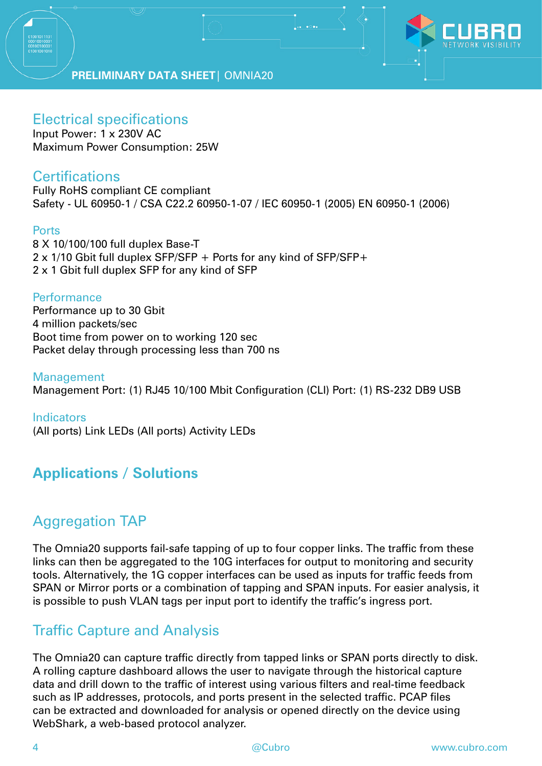

## Electrical specifications

Input Power: 1 x 230V AC Maximum Power Consumption: 25W

## **Certifications**

Fully RoHS compliant CE compliant Safety - UL 60950-1 / CSA C22.2 60950-1-07 / IEC 60950-1 (2005) EN 60950-1 (2006)

#### Ports

8 X 10/100/100 full duplex Base-T 2 x 1/10 Gbit full duplex SFP/SFP + Ports for any kind of SFP/SFP+ 2 x 1 Gbit full duplex SFP for any kind of SFP

#### **Performance**

Performance up to 30 Gbit 4 million packets/sec Boot time from power on to working 120 sec Packet delay through processing less than 700 ns

Management Management Port: (1) RJ45 10/100 Mbit Configuration (CLI) Port: (1) RS-232 DB9 USB

**Indicators** (All ports) Link LEDs (All ports) Activity LEDs

# **Applications / Solutions**

# Aggregation TAP

The Omnia20 supports fail-safe tapping of up to four copper links. The traffic from these links can then be aggregated to the 10G interfaces for output to monitoring and security tools. Alternatively, the 1G copper interfaces can be used as inputs for traffic feeds from SPAN or Mirror ports or a combination of tapping and SPAN inputs. For easier analysis, it is possible to push VLAN tags per input port to identify the traffic's ingress port.

# Traffic Capture and Analysis

The Omnia20 can capture traffic directly from tapped links or SPAN ports directly to disk. A rolling capture dashboard allows the user to navigate through the historical capture data and drill down to the traffic of interest using various filters and real-time feedback such as IP addresses, protocols, and ports present in the selected traffic. PCAP files can be extracted and downloaded for analysis or opened directly on the device using WebShark, a web-based protocol analyzer.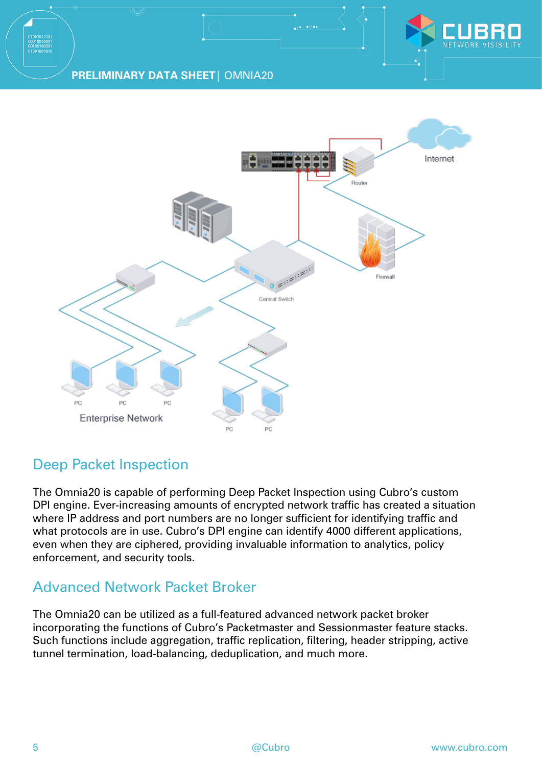



# Deep Packet Inspection

The Omnia20 is capable of performing Deep Packet Inspection using Cubro's custom DPI engine. Ever-increasing amounts of encrypted network traffic has created a situation where IP address and port numbers are no longer sufficient for identifying traffic and what protocols are in use. Cubro's DPI engine can identify 4000 different applications, even when they are ciphered, providing invaluable information to analytics, policy enforcement, and security tools.

# Advanced Network Packet Broker

The Omnia20 can be utilized as a full-featured advanced network packet broker incorporating the functions of Cubro's Packetmaster and Sessionmaster feature stacks. Such functions include aggregation, traffic replication, filtering, header stripping, active tunnel termination, load-balancing, deduplication, and much more.